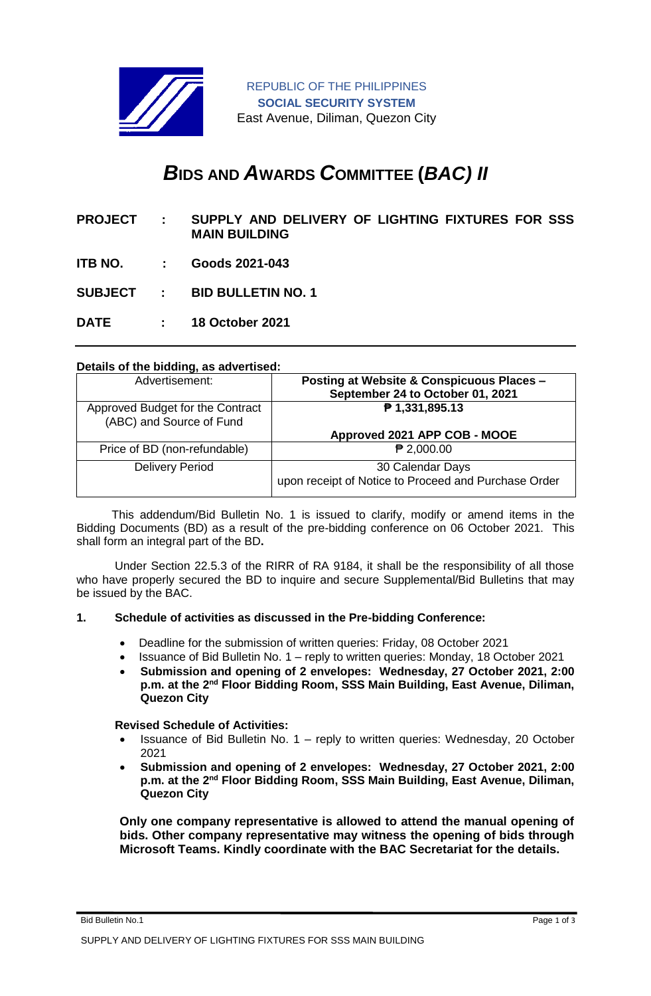

REPUBLIC OF THE PHILIPPINES **SOCIAL SECURITY SYSTEM** East Avenue, Diliman, Quezon City

# *B***IDS AND** *A***WARDS** *C***OMMITTEE (***BAC) II*

- **PROJECT : SUPPLY AND DELIVERY OF LIGHTING FIXTURES FOR SSS MAIN BUILDING**
- **ITB NO. : Goods 2021-043**
- **SUBJECT : BID BULLETIN NO. 1**
- **DATE : 18 October 2021**

## **Details of the bidding, as advertised:**

| Advertisement:                                               | <b>Posting at Website &amp; Conspicuous Places -</b><br>September 24 to October 01, 2021 |
|--------------------------------------------------------------|------------------------------------------------------------------------------------------|
| Approved Budget for the Contract<br>(ABC) and Source of Fund | ₱ 1,331,895.13                                                                           |
|                                                              | Approved 2021 APP COB - MOOE                                                             |
| Price of BD (non-refundable)                                 | $P$ 2,000.00                                                                             |
| <b>Delivery Period</b>                                       | 30 Calendar Days<br>upon receipt of Notice to Proceed and Purchase Order                 |

 This addendum/Bid Bulletin No. 1 is issued to clarify, modify or amend items in the Bidding Documents (BD) as a result of the pre-bidding conference on 06 October 2021. This shall form an integral part of the BD**.**

Under Section 22.5.3 of the RIRR of RA 9184, it shall be the responsibility of all those who have properly secured the BD to inquire and secure Supplemental/Bid Bulletins that may be issued by the BAC.

#### **1. Schedule of activities as discussed in the Pre-bidding Conference:**

- Deadline for the submission of written queries: Friday, 08 October 2021
- Issuance of Bid Bulletin No. 1 reply to written queries: Monday, 18 October 2021
- **Submission and opening of 2 envelopes: Wednesday, 27 October 2021, 2:00**  p.m. at the 2<sup>nd</sup> Floor Bidding Room, SSS Main Building, East Avenue, Diliman, **Quezon City**

#### **Revised Schedule of Activities:**

- **•** Issuance of Bid Bulletin No.  $1 -$  reply to written queries: Wednesday, 20 October 2021
- **Submission and opening of 2 envelopes: Wednesday, 27 October 2021, 2:00**  p.m. at the 2<sup>nd</sup> Floor Bidding Room, SSS Main Building, East Avenue, Diliman, **Quezon City**

**Only one company representative is allowed to attend the manual opening of bids. Other company representative may witness the opening of bids through Microsoft Teams. Kindly coordinate with the BAC Secretariat for the details.**

Bid Bulletin No.1 Page 1 of 3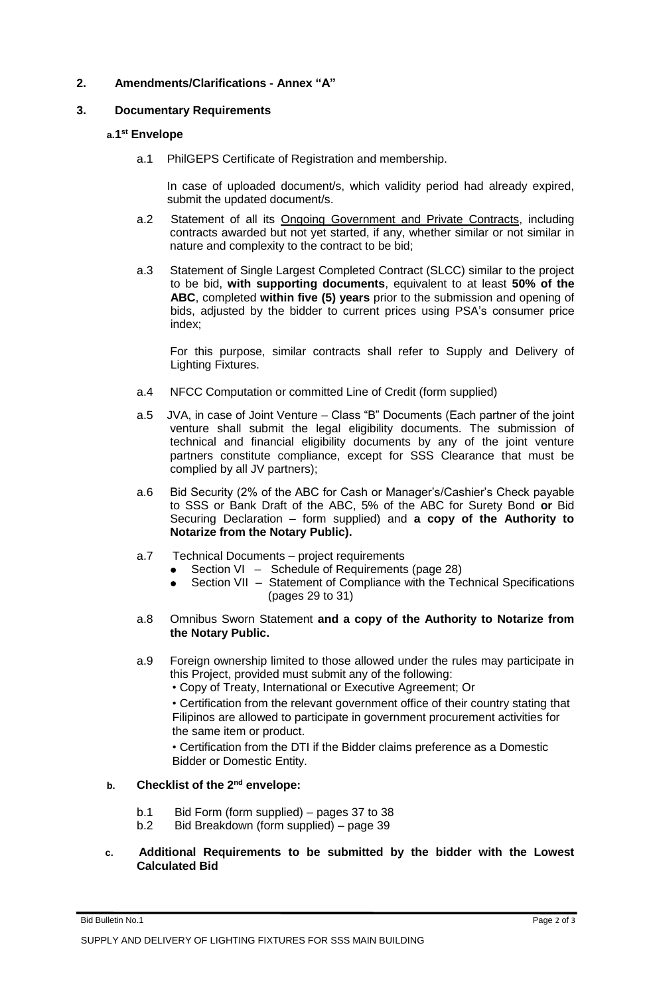## **2. Amendments/Clarifications - Annex "A"**

### **3. Documentary Requirements**

### **a.1 st Envelope**

a.1 PhilGEPS Certificate of Registration and membership.

In case of uploaded document/s, which validity period had already expired, submit the updated document/s.

- a.2 Statement of all its Ongoing Government and Private Contracts, including contracts awarded but not yet started, if any, whether similar or not similar in nature and complexity to the contract to be bid;
- a.3 Statement of Single Largest Completed Contract (SLCC) similar to the project to be bid, **with supporting documents**, equivalent to at least **50% of the ABC**, completed **within five (5) years** prior to the submission and opening of bids, adjusted by the bidder to current prices using PSA's consumer price index;

For this purpose, similar contracts shall refer to Supply and Delivery of Lighting Fixtures.

- a.4 NFCC Computation or committed Line of Credit (form supplied)
- a.5 JVA, in case of Joint Venture Class "B" Documents (Each partner of the joint venture shall submit the legal eligibility documents. The submission of technical and financial eligibility documents by any of the joint venture partners constitute compliance, except for SSS Clearance that must be complied by all JV partners);
- a.6 Bid Security (2% of the ABC for Cash or Manager's/Cashier's Check payable to SSS or Bank Draft of the ABC, 5% of the ABC for Surety Bond **or** Bid Securing Declaration – form supplied) and **a copy of the Authority to Notarize from the Notary Public).**
- a.7 Technical Documents project requirements
	- Section VI Schedule of Requirements (page 28)
	- Section VII Statement of Compliance with the Technical Specifications (pages 29 to 31)
- a.8 Omnibus Sworn Statement **and a copy of the Authority to Notarize from the Notary Public.**
- a.9 Foreign ownership limited to those allowed under the rules may participate in this Project, provided must submit any of the following:
	- Copy of Treaty, International or Executive Agreement; Or

• Certification from the relevant government office of their country stating that Filipinos are allowed to participate in government procurement activities for the same item or product.

• Certification from the DTI if the Bidder claims preference as a Domestic Bidder or Domestic Entity.

## **b. Checklist of the 2nd envelope:**

- b.1 Bid Form (form supplied) pages 37 to 38
- b.2 Bid Breakdown (form supplied) page 39

## **c. Additional Requirements to be submitted by the bidder with the Lowest Calculated Bid**

Bid Bulletin No.1 Page 2 of 3 SUPPLY AND DELIVERY OF LIGHTING FIXTURES FOR SSS MAIN BUILDING